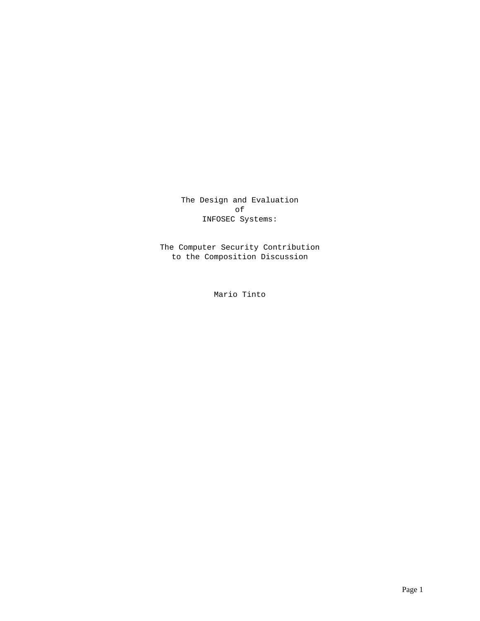The Design and Evaluation of INFOSEC Systems:

The Computer Security Contribution to the Composition Discussion

Mario Tinto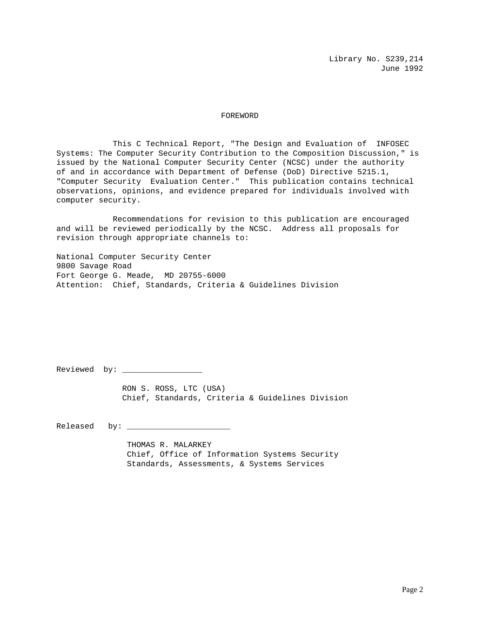#### FOREWORD

This C Technical Report, "The Design and Evaluation of INFOSEC Systems: The Computer Security Contribution to the Composition Discussion," is issued by the National Computer Security Center (NCSC) under the authority of and in accordance with Department of Defense (DoD) Directive 5215.1, "Computer Security Evaluation Center." This publication contains technical observations, opinions, and evidence prepared for individuals involved with computer security.

Recommendations for revision to this publication are encouraged and will be reviewed periodically by the NCSC. Address all proposals for revision through appropriate channels to:

National Computer Security Center 9800 Savage Road Fort George G. Meade, MD 20755-6000 Attention: Chief, Standards, Criteria & Guidelines Division

Reviewed by: \_\_\_\_\_\_\_\_\_\_\_\_\_\_\_\_\_

 RON S. ROSS, LTC (USA) Chief, Standards, Criteria & Guidelines Division

Released by: \_\_\_\_\_\_\_\_\_\_\_\_\_\_\_\_\_\_\_\_\_\_

 THOMAS R. MALARKEY Chief, Office of Information Systems Security Standards, Assessments, & Systems Services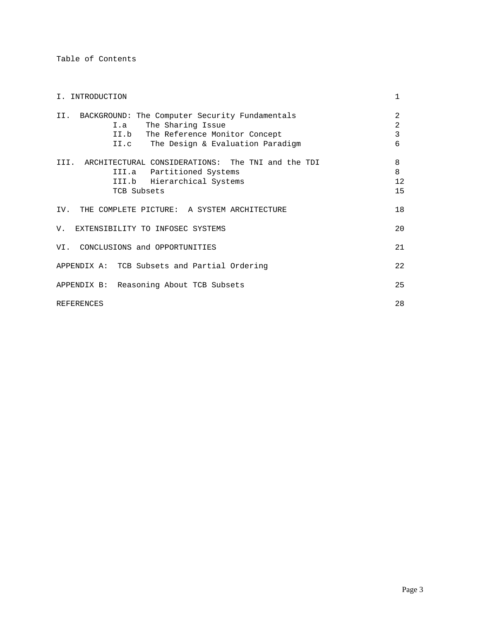Table of Contents

| I. INTRODUCTION                                                                                                                                            | 1                             |
|------------------------------------------------------------------------------------------------------------------------------------------------------------|-------------------------------|
| II. BACKGROUND: The Computer Security Fundamentals<br>I.a The Sharing Issue<br>II.b The Reference Monitor Concept<br>II.c The Design & Evaluation Paradigm | $\overline{2}$<br>2<br>3<br>6 |
| III. ARCHITECTURAL CONSIDERATIONS: The TNI and the TDI<br>III.a Partitioned Systems<br>III.b Hierarchical Systems<br>TCB Subsets                           | 8<br>8<br>12<br>15            |
| IV. THE COMPLETE PICTURE: A SYSTEM ARCHITECTURE                                                                                                            | 18                            |
| V. EXTENSIBILITY TO INFOSEC SYSTEMS                                                                                                                        | 20                            |
| VI. CONCLUSIONS and OPPORTUNITIES                                                                                                                          | 21                            |
| APPENDIX A: TCB Subsets and Partial Ordering                                                                                                               | 22                            |
| APPENDIX B: Reasoning About TCB Subsets                                                                                                                    | 25                            |
| <b>REFERENCES</b>                                                                                                                                          | 28                            |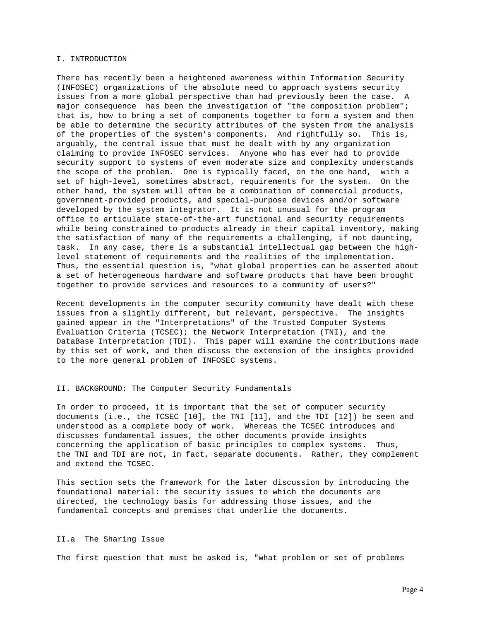#### I. INTRODUCTION

There has recently been a heightened awareness within Information Security (INFOSEC) organizations of the absolute need to approach systems security issues from a more global perspective than had previously been the case. A major consequence has been the investigation of "the composition problem"; that is, how to bring a set of components together to form a system and then be able to determine the security attributes of the system from the analysis of the properties of the system's components. And rightfully so. This is, arguably, the central issue that must be dealt with by any organization claiming to provide INFOSEC services. Anyone who has ever had to provide security support to systems of even moderate size and complexity understands the scope of the problem. One is typically faced, on the one hand, with a set of high-level, sometimes abstract, requirements for the system. On the other hand, the system will often be a combination of commercial products, government-provided products, and special-purpose devices and/or software developed by the system integrator. It is not unusual for the program office to articulate state-of-the-art functional and security requirements while being constrained to products already in their capital inventory, making the satisfaction of many of the requirements a challenging, if not daunting, task. In any case, there is a substantial intellectual gap between the highlevel statement of requirements and the realities of the implementation. Thus, the essential question is, "what global properties can be asserted about a set of heterogeneous hardware and software products that have been brought together to provide services and resources to a community of users?"

Recent developments in the computer security community have dealt with these issues from a slightly different, but relevant, perspective. The insights gained appear in the "Interpretations" of the Trusted Computer Systems Evaluation Criteria (TCSEC); the Network Interpretation (TNI), and the DataBase Interpretation (TDI). This paper will examine the contributions made by this set of work, and then discuss the extension of the insights provided to the more general problem of INFOSEC systems.

#### II. BACKGROUND: The Computer Security Fundamentals

In order to proceed, it is important that the set of computer security documents (i.e., the TCSEC [10], the TNI [11], and the TDI [12]) be seen and understood as a complete body of work. Whereas the TCSEC introduces and discusses fundamental issues, the other documents provide insights concerning the application of basic principles to complex systems. Thus, the TNI and TDI are not, in fact, separate documents. Rather, they complement and extend the TCSEC.

This section sets the framework for the later discussion by introducing the foundational material: the security issues to which the documents are directed, the technology basis for addressing those issues, and the fundamental concepts and premises that underlie the documents.

#### II.a The Sharing Issue

The first question that must be asked is, "what problem or set of problems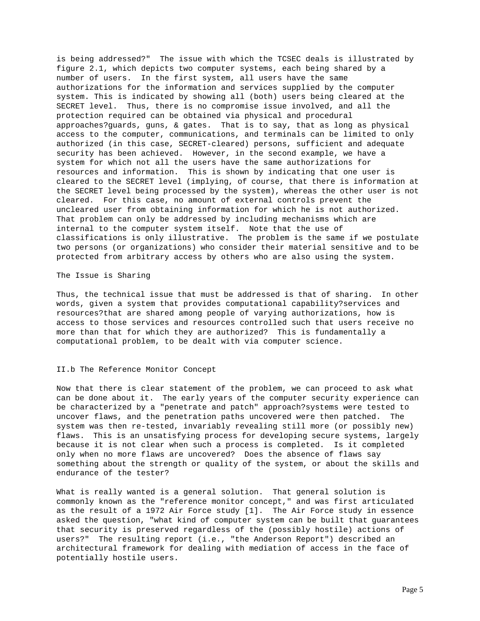is being addressed?" The issue with which the TCSEC deals is illustrated by figure 2.1, which depicts two computer systems, each being shared by a number of users. In the first system, all users have the same authorizations for the information and services supplied by the computer system. This is indicated by showing all (both) users being cleared at the SECRET level. Thus, there is no compromise issue involved, and all the protection required can be obtained via physical and procedural approaches?guards, guns, & gates. That is to say, that as long as physical access to the computer, communications, and terminals can be limited to only authorized (in this case, SECRET-cleared) persons, sufficient and adequate security has been achieved. However, in the second example, we have a system for which not all the users have the same authorizations for resources and information. This is shown by indicating that one user is cleared to the SECRET level (implying, of course, that there is information at the SECRET level being processed by the system), whereas the other user is not cleared. For this case, no amount of external controls prevent the uncleared user from obtaining information for which he is not authorized. That problem can only be addressed by including mechanisms which are internal to the computer system itself. Note that the use of classifications is only illustrative. The problem is the same if we postulate two persons (or organizations) who consider their material sensitive and to be protected from arbitrary access by others who are also using the system.

The Issue is Sharing

Thus, the technical issue that must be addressed is that of sharing. In other words, given a system that provides computational capability?services and resources?that are shared among people of varying authorizations, how is access to those services and resources controlled such that users receive no more than that for which they are authorized? This is fundamentally a computational problem, to be dealt with via computer science.

# II.b The Reference Monitor Concept

Now that there is clear statement of the problem, we can proceed to ask what can be done about it. The early years of the computer security experience can be characterized by a "penetrate and patch" approach?systems were tested to uncover flaws, and the penetration paths uncovered were then patched. The system was then re-tested, invariably revealing still more (or possibly new) flaws. This is an unsatisfying process for developing secure systems, largely because it is not clear when such a process is completed. Is it completed only when no more flaws are uncovered? Does the absence of flaws say something about the strength or quality of the system, or about the skills and endurance of the tester?

What is really wanted is a general solution. That general solution is commonly known as the "reference monitor concept," and was first articulated as the result of a 1972 Air Force study [1]. The Air Force study in essence asked the question, "what kind of computer system can be built that guarantees that security is preserved regardless of the (possibly hostile) actions of users?" The resulting report (i.e., "the Anderson Report") described an architectural framework for dealing with mediation of access in the face of potentially hostile users.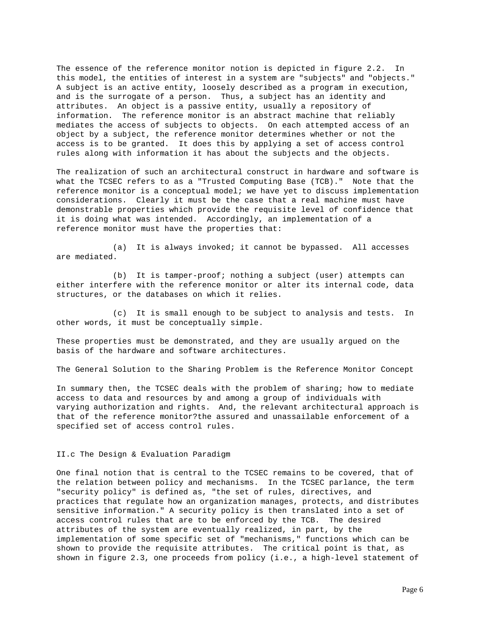The essence of the reference monitor notion is depicted in figure 2.2. In this model, the entities of interest in a system are "subjects" and "objects." A subject is an active entity, loosely described as a program in execution, and is the surrogate of a person. Thus, a subject has an identity and attributes. An object is a passive entity, usually a repository of information. The reference monitor is an abstract machine that reliably mediates the access of subjects to objects. On each attempted access of an object by a subject, the reference monitor determines whether or not the access is to be granted. It does this by applying a set of access control rules along with information it has about the subjects and the objects.

The realization of such an architectural construct in hardware and software is what the TCSEC refers to as a "Trusted Computing Base (TCB)." Note that the reference monitor is a conceptual model; we have yet to discuss implementation considerations. Clearly it must be the case that a real machine must have demonstrable properties which provide the requisite level of confidence that it is doing what was intended. Accordingly, an implementation of a reference monitor must have the properties that:

(a) It is always invoked; it cannot be bypassed. All accesses are mediated.

(b) It is tamper-proof; nothing a subject (user) attempts can either interfere with the reference monitor or alter its internal code, data structures, or the databases on which it relies.

(c) It is small enough to be subject to analysis and tests. In other words, it must be conceptually simple.

These properties must be demonstrated, and they are usually argued on the basis of the hardware and software architectures.

The General Solution to the Sharing Problem is the Reference Monitor Concept

In summary then, the TCSEC deals with the problem of sharing; how to mediate access to data and resources by and among a group of individuals with varying authorization and rights. And, the relevant architectural approach is that of the reference monitor?the assured and unassailable enforcement of a specified set of access control rules.

II.c The Design & Evaluation Paradigm

One final notion that is central to the TCSEC remains to be covered, that of the relation between policy and mechanisms. In the TCSEC parlance, the term "security policy" is defined as, "the set of rules, directives, and practices that regulate how an organization manages, protects, and distributes sensitive information." A security policy is then translated into a set of access control rules that are to be enforced by the TCB. The desired attributes of the system are eventually realized, in part, by the implementation of some specific set of "mechanisms," functions which can be shown to provide the requisite attributes. The critical point is that, as shown in figure 2.3, one proceeds from policy (i.e., a high-level statement of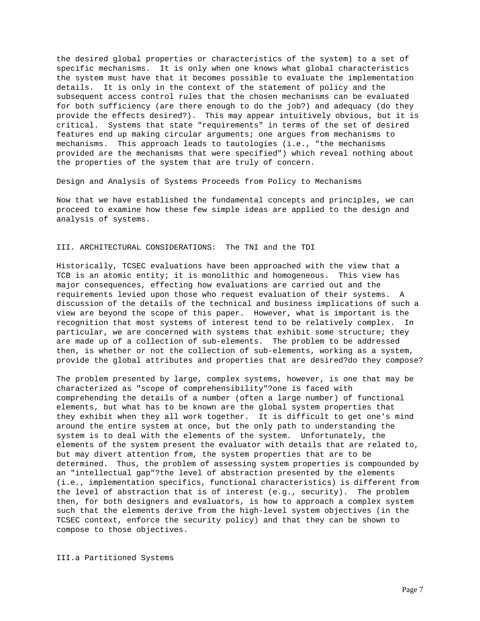the desired global properties or characteristics of the system) to a set of specific mechanisms. It is only when one knows what global characteristics the system must have that it becomes possible to evaluate the implementation details. It is only in the context of the statement of policy and the subsequent access control rules that the chosen mechanisms can be evaluated for both sufficiency (are there enough to do the job?) and adequacy (do they provide the effects desired?). This may appear intuitively obvious, but it is critical. Systems that state "requirements" in terms of the set of desired features end up making circular arguments; one argues from mechanisms to mechanisms. This approach leads to tautologies (i.e., "the mechanisms provided are the mechanisms that were specified") which reveal nothing about the properties of the system that are truly of concern.

Design and Analysis of Systems Proceeds from Policy to Mechanisms

Now that we have established the fundamental concepts and principles, we can proceed to examine how these few simple ideas are applied to the design and analysis of systems.

# III. ARCHITECTURAL CONSIDERATIONS: The TNI and the TDI

Historically, TCSEC evaluations have been approached with the view that a TCB is an atomic entity; it is monolithic and homogeneous. This view has major consequences, effecting how evaluations are carried out and the requirements levied upon those who request evaluation of their systems. A discussion of the details of the technical and business implications of such a view are beyond the scope of this paper. However, what is important is the recognition that most systems of interest tend to be relatively complex. In particular, we are concerned with systems that exhibit some structure; they are made up of a collection of sub-elements. The problem to be addressed then, is whether or not the collection of sub-elements, working as a system, provide the global attributes and properties that are desired?do they compose?

The problem presented by large, complex systems, however, is one that may be characterized as "scope of comprehensibility"?one is faced with comprehending the details of a number (often a large number) of functional elements, but what has to be known are the global system properties that they exhibit when they all work together. It is difficult to get one's mind around the entire system at once, but the only path to understanding the system is to deal with the elements of the system. Unfortunately, the elements of the system present the evaluator with details that are related to, but may divert attention from, the system properties that are to be determined. Thus, the problem of assessing system properties is compounded by an "intellectual gap"?the level of abstraction presented by the elements (i.e., implementation specifics, functional characteristics) is different from the level of abstraction that is of interest (e.g., security). The problem then, for both designers and evaluators, is how to approach a complex system such that the elements derive from the high-level system objectives (in the TCSEC context, enforce the security policy) and that they can be shown to compose to those objectives.

III.a Partitioned Systems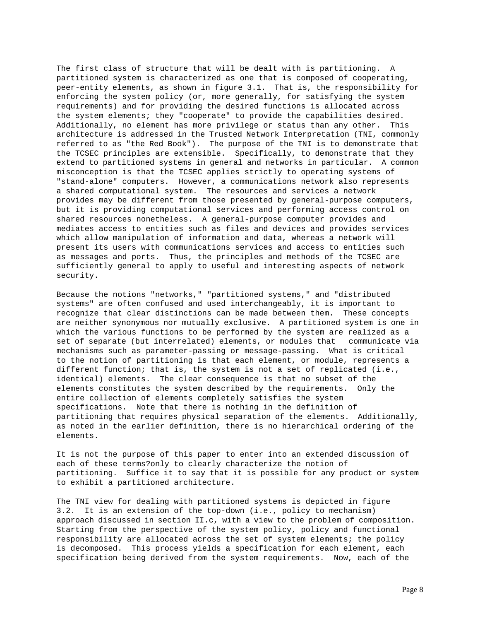The first class of structure that will be dealt with is partitioning. A partitioned system is characterized as one that is composed of cooperating, peer-entity elements, as shown in figure 3.1. That is, the responsibility for enforcing the system policy (or, more generally, for satisfying the system requirements) and for providing the desired functions is allocated across the system elements; they "cooperate" to provide the capabilities desired. Additionally, no element has more privilege or status than any other. This architecture is addressed in the Trusted Network Interpretation (TNI, commonly referred to as "the Red Book"). The purpose of the TNI is to demonstrate that the TCSEC principles are extensible. Specifically, to demonstrate that they extend to partitioned systems in general and networks in particular. A common misconception is that the TCSEC applies strictly to operating systems of "stand-alone" computers. However, a communications network also represents a shared computational system. The resources and services a network provides may be different from those presented by general-purpose computers, but it is providing computational services and performing access control on shared resources nonetheless. A general-purpose computer provides and mediates access to entities such as files and devices and provides services which allow manipulation of information and data, whereas a network will present its users with communications services and access to entities such as messages and ports. Thus, the principles and methods of the TCSEC are sufficiently general to apply to useful and interesting aspects of network security.

Because the notions "networks," "partitioned systems," and "distributed systems" are often confused and used interchangeably, it is important to recognize that clear distinctions can be made between them. These concepts are neither synonymous nor mutually exclusive. A partitioned system is one in which the various functions to be performed by the system are realized as a set of separate (but interrelated) elements, or modules that communicate via mechanisms such as parameter-passing or message-passing. What is critical to the notion of partitioning is that each element, or module, represents a different function; that is, the system is not a set of replicated (i.e., identical) elements. The clear consequence is that no subset of the elements constitutes the system described by the requirements. Only the entire collection of elements completely satisfies the system specifications. Note that there is nothing in the definition of partitioning that requires physical separation of the elements. Additionally, as noted in the earlier definition, there is no hierarchical ordering of the elements.

It is not the purpose of this paper to enter into an extended discussion of each of these terms?only to clearly characterize the notion of partitioning. Suffice it to say that it is possible for any product or system to exhibit a partitioned architecture.

The TNI view for dealing with partitioned systems is depicted in figure 3.2. It is an extension of the top-down (i.e., policy to mechanism) approach discussed in section II.c, with a view to the problem of composition. Starting from the perspective of the system policy, policy and functional responsibility are allocated across the set of system elements; the policy is decomposed. This process yields a specification for each element, each specification being derived from the system requirements. Now, each of the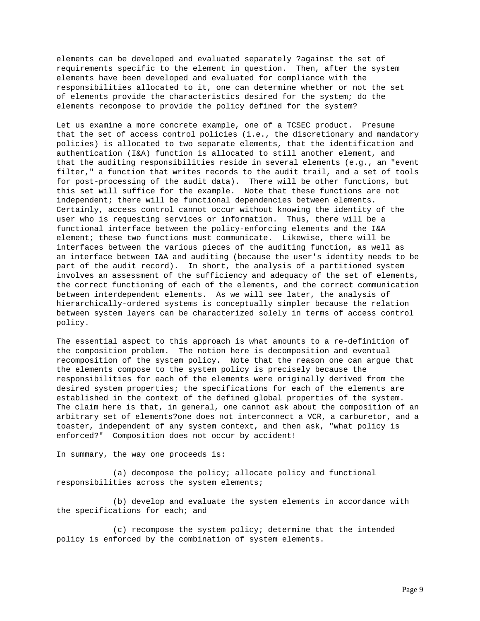elements can be developed and evaluated separately ?against the set of requirements specific to the element in question. Then, after the system elements have been developed and evaluated for compliance with the responsibilities allocated to it, one can determine whether or not the set of elements provide the characteristics desired for the system; do the elements recompose to provide the policy defined for the system?

Let us examine a more concrete example, one of a TCSEC product. Presume that the set of access control policies (i.e., the discretionary and mandatory policies) is allocated to two separate elements, that the identification and authentication (I&A) function is allocated to still another element, and that the auditing responsibilities reside in several elements (e.g., an "event filter," a function that writes records to the audit trail, and a set of tools for post-processing of the audit data). There will be other functions, but this set will suffice for the example. Note that these functions are not independent; there will be functional dependencies between elements. Certainly, access control cannot occur without knowing the identity of the user who is requesting services or information. Thus, there will be a functional interface between the policy-enforcing elements and the I&A element; these two functions must communicate. Likewise, there will be interfaces between the various pieces of the auditing function, as well as an interface between I&A and auditing (because the user's identity needs to be part of the audit record). In short, the analysis of a partitioned system involves an assessment of the sufficiency and adequacy of the set of elements, the correct functioning of each of the elements, and the correct communication between interdependent elements. As we will see later, the analysis of hierarchically-ordered systems is conceptually simpler because the relation between system layers can be characterized solely in terms of access control policy.

The essential aspect to this approach is what amounts to a re-definition of the composition problem. The notion here is decomposition and eventual recomposition of the system policy. Note that the reason one can argue that the elements compose to the system policy is precisely because the responsibilities for each of the elements were originally derived from the desired system properties; the specifications for each of the elements are established in the context of the defined global properties of the system. The claim here is that, in general, one cannot ask about the composition of an arbitrary set of elements?one does not interconnect a VCR, a carburetor, and a toaster, independent of any system context, and then ask, "what policy is enforced?" Composition does not occur by accident!

In summary, the way one proceeds is:

(a) decompose the policy; allocate policy and functional responsibilities across the system elements;

(b) develop and evaluate the system elements in accordance with the specifications for each; and

(c) recompose the system policy; determine that the intended policy is enforced by the combination of system elements.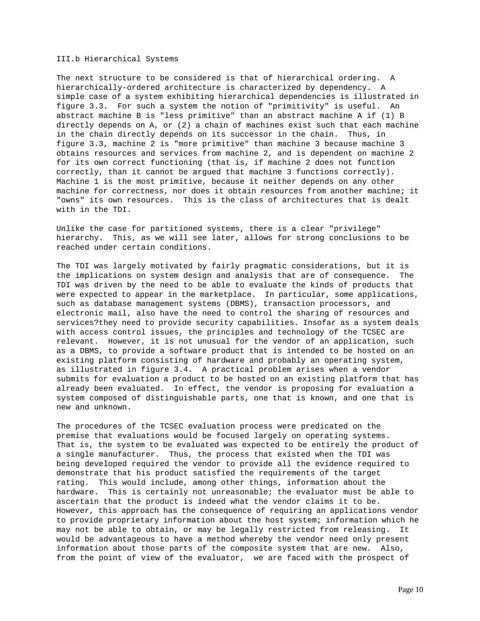III.b Hierarchical Systems

The next structure to be considered is that of hierarchical ordering. A hierarchically-ordered architecture is characterized by dependency. A simple case of a system exhibiting hierarchical dependencies is illustrated in figure 3.3. For such a system the notion of "primitivity" is useful. An abstract machine B is "less primitive" than an abstract machine A if (1) B directly depends on A, or (2) a chain of machines exist such that each machine in the chain directly depends on its successor in the chain. Thus, in figure 3.3, machine 2 is "more primitive" than machine 3 because machine 3 obtains resources and services from machine 2, and is dependent on machine 2 for its own correct functioning (that is, if machine 2 does not function correctly, than it cannot be argued that machine 3 functions correctly). Machine 1 is the most primitive, because it neither depends on any other machine for correctness, nor does it obtain resources from another machine; it "owns" its own resources. This is the class of architectures that is dealt with in the TDI.

Unlike the case for partitioned systems, there is a clear "privilege" hierarchy. This, as we will see later, allows for strong conclusions to be reached under certain conditions.

The TDI was largely motivated by fairly pragmatic considerations, but it is the implications on system design and analysis that are of consequence. The TDI was driven by the need to be able to evaluate the kinds of products that were expected to appear in the marketplace. In particular, some applications, such as database management systems (DBMS), transaction processors, and electronic mail, also have the need to control the sharing of resources and services?they need to provide security capabilities. Insofar as a system deals with access control issues, the principles and technology of the TCSEC are relevant. However, it is not unusual for the vendor of an application, such as a DBMS, to provide a software product that is intended to be hosted on an existing platform consisting of hardware and probably an operating system, as illustrated in figure 3.4. A practical problem arises when a vendor submits for evaluation a product to be hosted on an existing platform that has already been evaluated. In effect, the vendor is proposing for evaluation a system composed of distinguishable parts, one that is known, and one that is new and unknown.

The procedures of the TCSEC evaluation process were predicated on the premise that evaluations would be focused largely on operating systems. That is, the system to be evaluated was expected to be entirely the product of a single manufacturer. Thus, the process that existed when the TDI was being developed required the vendor to provide all the evidence required to demonstrate that his product satisfied the requirements of the target rating. This would include, among other things, information about the hardware. This is certainly not unreasonable; the evaluator must be able to ascertain that the product is indeed what the vendor claims it to be. However, this approach has the consequence of requiring an applications vendor to provide proprietary information about the host system; information which he may not be able to obtain, or may be legally restricted from releasing. It would be advantageous to have a method whereby the vendor need only present information about those parts of the composite system that are new. Also, from the point of view of the evaluator, we are faced with the prospect of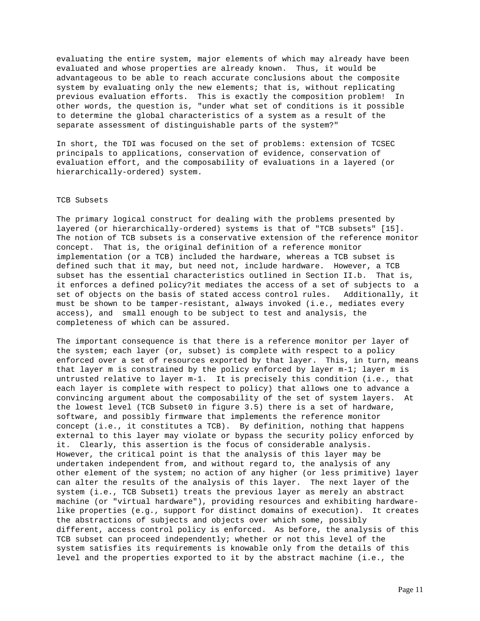evaluating the entire system, major elements of which may already have been evaluated and whose properties are already known. Thus, it would be advantageous to be able to reach accurate conclusions about the composite system by evaluating only the new elements; that is, without replicating previous evaluation efforts. This is exactly the composition problem! In other words, the question is, "under what set of conditions is it possible to determine the global characteristics of a system as a result of the separate assessment of distinguishable parts of the system?"

In short, the TDI was focused on the set of problems: extension of TCSEC principals to applications, conservation of evidence, conservation of evaluation effort, and the composability of evaluations in a layered (or hierarchically-ordered) system.

#### TCB Subsets

The primary logical construct for dealing with the problems presented by layered (or hierarchically-ordered) systems is that of "TCB subsets" [15]. The notion of TCB subsets is a conservative extension of the reference monitor concept. That is, the original definition of a reference monitor implementation (or a TCB) included the hardware, whereas a TCB subset is defined such that it may, but need not, include hardware. However, a TCB subset has the essential characteristics outlined in Section II.b. That is, it enforces a defined policy?it mediates the access of a set of subjects to a set of objects on the basis of stated access control rules. Additionally, it must be shown to be tamper-resistant, always invoked (i.e., mediates every access), and small enough to be subject to test and analysis, the completeness of which can be assured.

The important consequence is that there is a reference monitor per layer of the system; each layer (or, subset) is complete with respect to a policy enforced over a set of resources exported by that layer. This, in turn, means that layer m is constrained by the policy enforced by layer m-1; layer m is untrusted relative to layer m-1. It is precisely this condition (i.e., that each layer is complete with respect to policy) that allows one to advance a convincing argument about the composability of the set of system layers. At the lowest level (TCB Subset0 in figure 3.5) there is a set of hardware, software, and possibly firmware that implements the reference monitor concept (i.e., it constitutes a TCB). By definition, nothing that happens external to this layer may violate or bypass the security policy enforced by it. Clearly, this assertion is the focus of considerable analysis. However, the critical point is that the analysis of this layer may be undertaken independent from, and without regard to, the analysis of any other element of the system; no action of any higher (or less primitive) layer can alter the results of the analysis of this layer. The next layer of the system (i.e., TCB Subset1) treats the previous layer as merely an abstract machine (or "virtual hardware"), providing resources and exhibiting hardwarelike properties (e.g., support for distinct domains of execution). It creates the abstractions of subjects and objects over which some, possibly different, access control policy is enforced. As before, the analysis of this TCB subset can proceed independently; whether or not this level of the system satisfies its requirements is knowable only from the details of this level and the properties exported to it by the abstract machine (i.e., the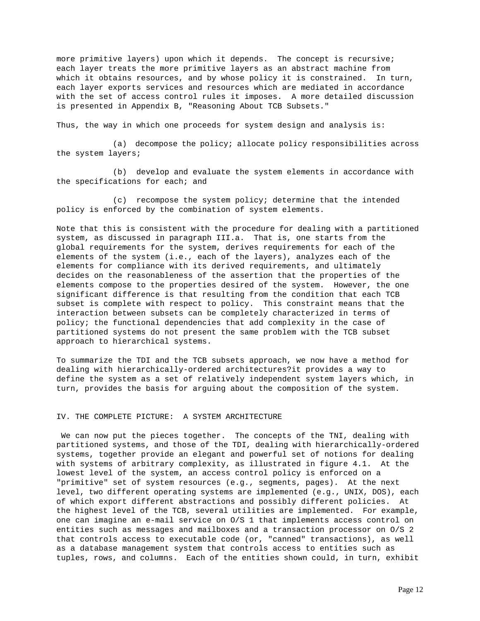more primitive layers) upon which it depends. The concept is recursive; each layer treats the more primitive layers as an abstract machine from which it obtains resources, and by whose policy it is constrained. In turn, each layer exports services and resources which are mediated in accordance with the set of access control rules it imposes. A more detailed discussion is presented in Appendix B, "Reasoning About TCB Subsets."

Thus, the way in which one proceeds for system design and analysis is:

(a) decompose the policy; allocate policy responsibilities across the system layers;

(b) develop and evaluate the system elements in accordance with the specifications for each; and

(c) recompose the system policy; determine that the intended policy is enforced by the combination of system elements.

Note that this is consistent with the procedure for dealing with a partitioned system, as discussed in paragraph III.a. That is, one starts from the global requirements for the system, derives requirements for each of the elements of the system (i.e., each of the layers), analyzes each of the elements for compliance with its derived requirements, and ultimately decides on the reasonableness of the assertion that the properties of the elements compose to the properties desired of the system. However, the one significant difference is that resulting from the condition that each TCB subset is complete with respect to policy. This constraint means that the interaction between subsets can be completely characterized in terms of policy; the functional dependencies that add complexity in the case of partitioned systems do not present the same problem with the TCB subset approach to hierarchical systems.

To summarize the TDI and the TCB subsets approach, we now have a method for dealing with hierarchically-ordered architectures?it provides a way to define the system as a set of relatively independent system layers which, in turn, provides the basis for arguing about the composition of the system.

# IV. THE COMPLETE PICTURE: A SYSTEM ARCHITECTURE

 We can now put the pieces together. The concepts of the TNI, dealing with partitioned systems, and those of the TDI, dealing with hierarchically-ordered systems, together provide an elegant and powerful set of notions for dealing with systems of arbitrary complexity, as illustrated in figure 4.1. At the lowest level of the system, an access control policy is enforced on a "primitive" set of system resources (e.g., segments, pages). At the next level, two different operating systems are implemented (e.g., UNIX, DOS), each of which export different abstractions and possibly different policies. At the highest level of the TCB, several utilities are implemented. For example, one can imagine an e-mail service on O/S 1 that implements access control on entities such as messages and mailboxes and a transaction processor on O/S 2 that controls access to executable code (or, "canned" transactions), as well as a database management system that controls access to entities such as tuples, rows, and columns. Each of the entities shown could, in turn, exhibit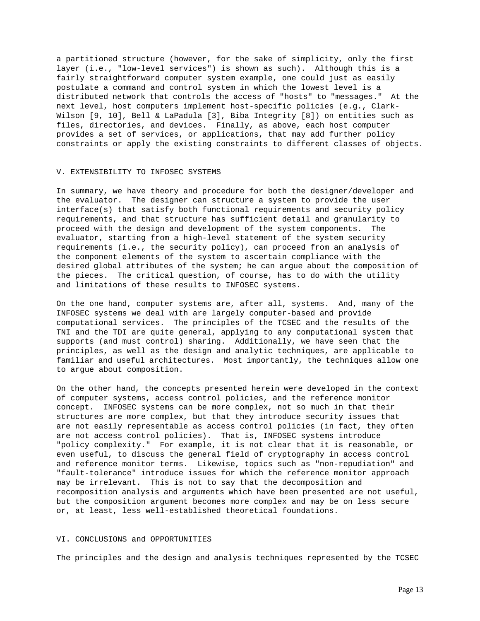a partitioned structure (however, for the sake of simplicity, only the first layer (i.e., "low-level services") is shown as such). Although this is a fairly straightforward computer system example, one could just as easily postulate a command and control system in which the lowest level is a distributed network that controls the access of "hosts" to "messages." At the next level, host computers implement host-specific policies (e.g., Clark-Wilson [9, 10], Bell & LaPadula [3], Biba Integrity [8]) on entities such as files, directories, and devices. Finally, as above, each host computer provides a set of services, or applications, that may add further policy constraints or apply the existing constraints to different classes of objects.

## V. EXTENSIBILITY TO INFOSEC SYSTEMS

In summary, we have theory and procedure for both the designer/developer and the evaluator. The designer can structure a system to provide the user interface(s) that satisfy both functional requirements and security policy requirements, and that structure has sufficient detail and granularity to proceed with the design and development of the system components. The evaluator, starting from a high-level statement of the system security requirements (i.e., the security policy), can proceed from an analysis of the component elements of the system to ascertain compliance with the desired global attributes of the system; he can argue about the composition of the pieces. The critical question, of course, has to do with the utility and limitations of these results to INFOSEC systems.

On the one hand, computer systems are, after all, systems. And, many of the INFOSEC systems we deal with are largely computer-based and provide computational services. The principles of the TCSEC and the results of the TNI and the TDI are quite general, applying to any computational system that supports (and must control) sharing. Additionally, we have seen that the principles, as well as the design and analytic techniques, are applicable to familiar and useful architectures. Most importantly, the techniques allow one to argue about composition.

On the other hand, the concepts presented herein were developed in the context of computer systems, access control policies, and the reference monitor concept. INFOSEC systems can be more complex, not so much in that their structures are more complex, but that they introduce security issues that are not easily representable as access control policies (in fact, they often are not access control policies). That is, INFOSEC systems introduce "policy complexity." For example, it is not clear that it is reasonable, or even useful, to discuss the general field of cryptography in access control and reference monitor terms. Likewise, topics such as "non-repudiation" and "fault-tolerance" introduce issues for which the reference monitor approach may be irrelevant. This is not to say that the decomposition and recomposition analysis and arguments which have been presented are not useful, but the composition argument becomes more complex and may be on less secure or, at least, less well-established theoretical foundations.

# VI. CONCLUSIONS and OPPORTUNITIES

The principles and the design and analysis techniques represented by the TCSEC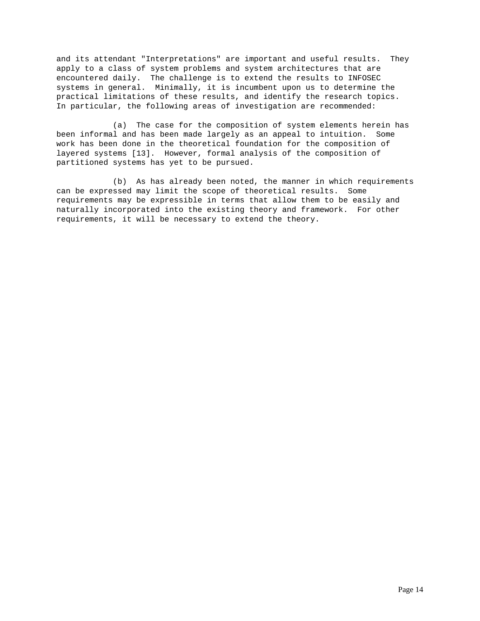and its attendant "Interpretations" are important and useful results. They apply to a class of system problems and system architectures that are encountered daily. The challenge is to extend the results to INFOSEC systems in general. Minimally, it is incumbent upon us to determine the practical limitations of these results, and identify the research topics. In particular, the following areas of investigation are recommended:

(a) The case for the composition of system elements herein has been informal and has been made largely as an appeal to intuition. Some work has been done in the theoretical foundation for the composition of layered systems [13]. However, formal analysis of the composition of partitioned systems has yet to be pursued.

(b) As has already been noted, the manner in which requirements can be expressed may limit the scope of theoretical results. Some requirements may be expressible in terms that allow them to be easily and naturally incorporated into the existing theory and framework. For other requirements, it will be necessary to extend the theory.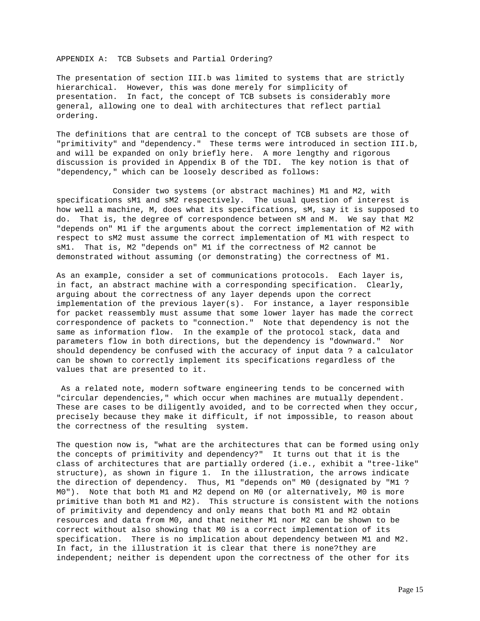APPENDIX A: TCB Subsets and Partial Ordering?

The presentation of section III.b was limited to systems that are strictly hierarchical. However, this was done merely for simplicity of presentation. In fact, the concept of TCB subsets is considerably more general, allowing one to deal with architectures that reflect partial ordering.

The definitions that are central to the concept of TCB subsets are those of "primitivity" and "dependency." These terms were introduced in section III.b, and will be expanded on only briefly here. A more lengthy and rigorous discussion is provided in Appendix B of the TDI. The key notion is that of "dependency," which can be loosely described as follows:

Consider two systems (or abstract machines) M1 and M2, with specifications sM1 and sM2 respectively. The usual question of interest is how well a machine, M, does what its specifications, sM, say it is supposed to do. That is, the degree of correspondence between sM and M. We say that M2 "depends on" M1 if the arguments about the correct implementation of M2 with respect to sM2 must assume the correct implementation of M1 with respect to sM1. That is, M2 "depends on" M1 if the correctness of M2 cannot be demonstrated without assuming (or demonstrating) the correctness of M1.

As an example, consider a set of communications protocols. Each layer is, in fact, an abstract machine with a corresponding specification. Clearly, arguing about the correctness of any layer depends upon the correct implementation of the previous layer(s). For instance, a layer responsible for packet reassembly must assume that some lower layer has made the correct correspondence of packets to "connection." Note that dependency is not the same as information flow. In the example of the protocol stack, data and parameters flow in both directions, but the dependency is "downward." Nor should dependency be confused with the accuracy of input data ? a calculator can be shown to correctly implement its specifications regardless of the values that are presented to it.

 As a related note, modern software engineering tends to be concerned with "circular dependencies," which occur when machines are mutually dependent. These are cases to be diligently avoided, and to be corrected when they occur, precisely because they make it difficult, if not impossible, to reason about the correctness of the resulting system.

The question now is, "what are the architectures that can be formed using only the concepts of primitivity and dependency?" It turns out that it is the class of architectures that are partially ordered (i.e., exhibit a "tree-like" structure), as shown in figure 1. In the illustration, the arrows indicate the direction of dependency. Thus, M1 "depends on" M0 (designated by "M1 ? M0"). Note that both M1 and M2 depend on M0 (or alternatively, M0 is more primitive than both M1 and M2). This structure is consistent with the notions of primitivity and dependency and only means that both M1 and M2 obtain resources and data from M0, and that neither M1 nor M2 can be shown to be correct without also showing that M0 is a correct implementation of its specification. There is no implication about dependency between M1 and M2. In fact, in the illustration it is clear that there is none?they are independent; neither is dependent upon the correctness of the other for its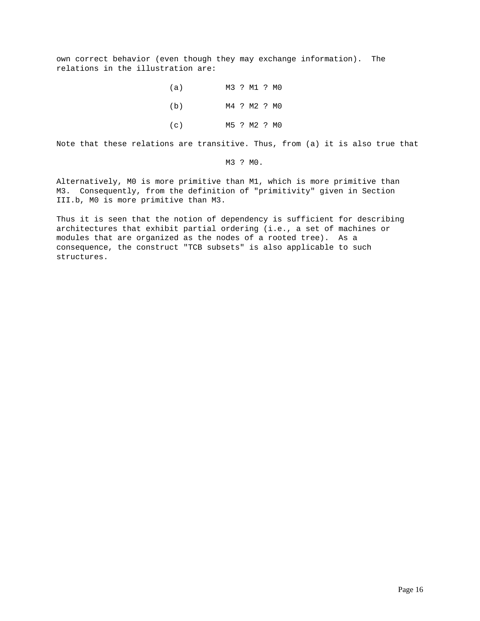own correct behavior (even though they may exchange information). The relations in the illustration are:

> (a) M3 ? M1 ? M0 (b) M4 ? M2 ? M0 (c) M5 ? M2 ? M0

Note that these relations are transitive. Thus, from (a) it is also true that

M3 ? M0.

Alternatively, M0 is more primitive than M1, which is more primitive than M3. Consequently, from the definition of "primitivity" given in Section III.b, M0 is more primitive than M3.

Thus it is seen that the notion of dependency is sufficient for describing architectures that exhibit partial ordering (i.e., a set of machines or modules that are organized as the nodes of a rooted tree). As a consequence, the construct "TCB subsets" is also applicable to such structures.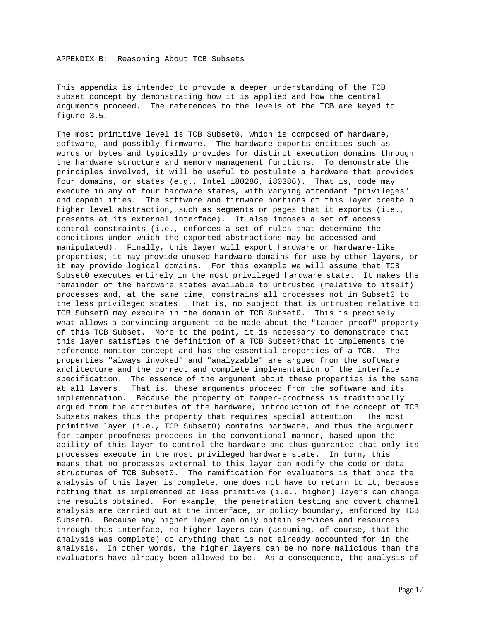This appendix is intended to provide a deeper understanding of the TCB subset concept by demonstrating how it is applied and how the central arguments proceed. The references to the levels of the TCB are keyed to figure 3.5.

The most primitive level is TCB Subset0, which is composed of hardware, software, and possibly firmware. The hardware exports entities such as words or bytes and typically provides for distinct execution domains through the hardware structure and memory management functions. To demonstrate the principles involved, it will be useful to postulate a hardware that provides four domains, or states (e.g., Intel i80286, i80386). That is, code may execute in any of four hardware states, with varying attendant "privileges" and capabilities. The software and firmware portions of this layer create a higher level abstraction, such as segments or pages that it exports (i.e., presents at its external interface). It also imposes a set of access control constraints (i.e., enforces a set of rules that determine the conditions under which the exported abstractions may be accessed and manipulated). Finally, this layer will export hardware or hardware-like properties; it may provide unused hardware domains for use by other layers, or it may provide logical domains. For this example we will assume that TCB Subset0 executes entirely in the most privileged hardware state. It makes the remainder of the hardware states available to untrusted (relative to itself) processes and, at the same time, constrains all processes not in Subset0 to the less privileged states. That is, no subject that is untrusted relative to TCB Subset0 may execute in the domain of TCB Subset0. This is precisely what allows a convincing argument to be made about the "tamper-proof" property of this TCB Subset. More to the point, it is necessary to demonstrate that this layer satisfies the definition of a TCB Subset?that it implements the reference monitor concept and has the essential properties of a TCB. The properties "always invoked" and "analyzable" are argued from the software architecture and the correct and complete implementation of the interface specification. The essence of the argument about these properties is the same at all layers. That is, these arguments proceed from the software and its implementation. Because the property of tamper-proofness is traditionally argued from the attributes of the hardware, introduction of the concept of TCB Subsets makes this the property that requires special attention. The most primitive layer (i.e., TCB Subset0) contains hardware, and thus the argument for tamper-proofness proceeds in the conventional manner, based upon the ability of this layer to control the hardware and thus guarantee that only its processes execute in the most privileged hardware state. In turn, this means that no processes external to this layer can modify the code or data structures of TCB Subset0. The ramification for evaluators is that once the analysis of this layer is complete, one does not have to return to it, because nothing that is implemented at less primitive (i.e., higher) layers can change the results obtained. For example, the penetration testing and covert channel analysis are carried out at the interface, or policy boundary, enforced by TCB Subset0. Because any higher layer can only obtain services and resources through this interface, no higher layers can (assuming, of course, that the analysis was complete) do anything that is not already accounted for in the analysis. In other words, the higher layers can be no more malicious than the evaluators have already been allowed to be. As a consequence, the analysis of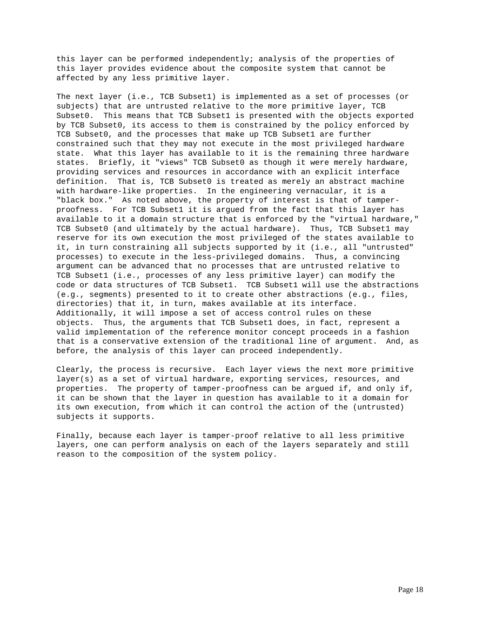this layer can be performed independently; analysis of the properties of this layer provides evidence about the composite system that cannot be affected by any less primitive layer.

The next layer (i.e., TCB Subset1) is implemented as a set of processes (or subjects) that are untrusted relative to the more primitive layer, TCB Subset0. This means that TCB Subset1 is presented with the objects exported by TCB Subset0, its access to them is constrained by the policy enforced by TCB Subset0, and the processes that make up TCB Subset1 are further constrained such that they may not execute in the most privileged hardware state. What this layer has available to it is the remaining three hardware states. Briefly, it "views" TCB Subset0 as though it were merely hardware, providing services and resources in accordance with an explicit interface definition. That is, TCB Subset0 is treated as merely an abstract machine with hardware-like properties. In the engineering vernacular, it is a "black box." As noted above, the property of interest is that of tamperproofness. For TCB Subset1 it is argued from the fact that this layer has available to it a domain structure that is enforced by the "virtual hardware," TCB Subset0 (and ultimately by the actual hardware). Thus, TCB Subset1 may reserve for its own execution the most privileged of the states available to it, in turn constraining all subjects supported by it (i.e., all "untrusted" processes) to execute in the less-privileged domains. Thus, a convincing argument can be advanced that no processes that are untrusted relative to TCB Subset1 (i.e., processes of any less primitive layer) can modify the code or data structures of TCB Subset1. TCB Subset1 will use the abstractions (e.g., segments) presented to it to create other abstractions (e.g., files, directories) that it, in turn, makes available at its interface. Additionally, it will impose a set of access control rules on these objects. Thus, the arguments that TCB Subset1 does, in fact, represent a valid implementation of the reference monitor concept proceeds in a fashion that is a conservative extension of the traditional line of argument. And, as before, the analysis of this layer can proceed independently.

Clearly, the process is recursive. Each layer views the next more primitive layer(s) as a set of virtual hardware, exporting services, resources, and properties. The property of tamper-proofness can be argued if, and only if, it can be shown that the layer in question has available to it a domain for its own execution, from which it can control the action of the (untrusted) subjects it supports.

Finally, because each layer is tamper-proof relative to all less primitive layers, one can perform analysis on each of the layers separately and still reason to the composition of the system policy.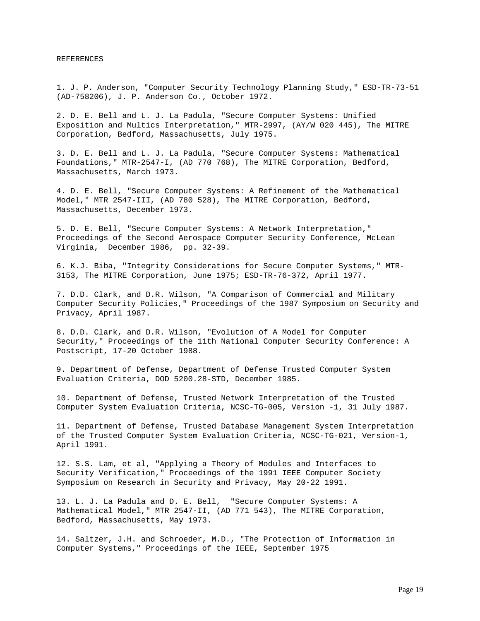REFERENCES

1. J. P. Anderson, "Computer Security Technology Planning Study," ESD-TR-73-51 (AD-758206), J. P. Anderson Co., October 1972.

2. D. E. Bell and L. J. La Padula, "Secure Computer Systems: Unified Exposition and Multics Interpretation," MTR-2997, (AY/W 020 445), The MITRE Corporation, Bedford, Massachusetts, July 1975.

3. D. E. Bell and L. J. La Padula, "Secure Computer Systems: Mathematical Foundations," MTR-2547-I, (AD 770 768), The MITRE Corporation, Bedford, Massachusetts, March 1973.

4. D. E. Bell, "Secure Computer Systems: A Refinement of the Mathematical Model," MTR 2547-III, (AD 780 528), The MITRE Corporation, Bedford, Massachusetts, December 1973.

5. D. E. Bell, "Secure Computer Systems: A Network Interpretation," Proceedings of the Second Aerospace Computer Security Conference, McLean Virginia, December 1986, pp. 32-39.

6. K.J. Biba, "Integrity Considerations for Secure Computer Systems," MTR-3153, The MITRE Corporation, June 1975; ESD-TR-76-372, April 1977.

7. D.D. Clark, and D.R. Wilson, "A Comparison of Commercial and Military Computer Security Policies," Proceedings of the 1987 Symposium on Security and Privacy, April 1987.

8. D.D. Clark, and D.R. Wilson, "Evolution of A Model for Computer Security," Proceedings of the 11th National Computer Security Conference: A Postscript, 17-20 October 1988.

9. Department of Defense, Department of Defense Trusted Computer System Evaluation Criteria, DOD 5200.28-STD, December 1985.

10. Department of Defense, Trusted Network Interpretation of the Trusted Computer System Evaluation Criteria, NCSC-TG-005, Version -1, 31 July 1987.

11. Department of Defense, Trusted Database Management System Interpretation of the Trusted Computer System Evaluation Criteria, NCSC-TG-021, Version-1, April 1991.

12. S.S. Lam, et al, "Applying a Theory of Modules and Interfaces to Security Verification," Proceedings of the 1991 IEEE Computer Society Symposium on Research in Security and Privacy, May 20-22 1991.

13. L. J. La Padula and D. E. Bell, "Secure Computer Systems: A Mathematical Model," MTR 2547-II, (AD 771 543), The MITRE Corporation, Bedford, Massachusetts, May 1973.

14. Saltzer, J.H. and Schroeder, M.D., "The Protection of Information in Computer Systems," Proceedings of the IEEE, September 1975